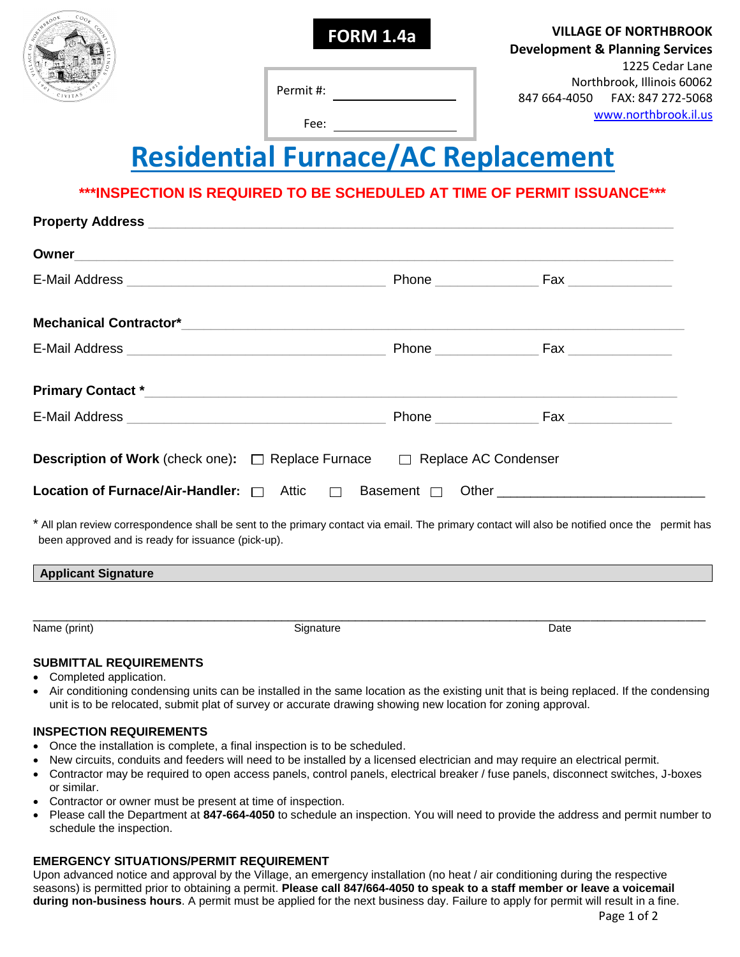

**FORM 1.4a VILLAGE OF NORTHBROOK Development & Planning Services** 1225 Cedar Lane Northbrook, Illinois 60062 847 664-4050 FAX: 847 272-5068 [www.northbrook.il.us](http://www.northbrook.il.us/)

Permit #:

Fee:

# **Residential Furnace/AC Replacement**

## **\*\*\*INSPECTION IS REQUIRED TO BE SCHEDULED AT TIME OF PERMIT ISSUANCE\*\*\***

| <b>Description of Work</b> (check one): $\Box$ Replace Furnace $\Box$ Replace AC Condenser                                                                                                           |  |
|------------------------------------------------------------------------------------------------------------------------------------------------------------------------------------------------------|--|
|                                                                                                                                                                                                      |  |
| * All plan review correspondence shall be sent to the primary contact via email. The primary contact will also be notified once the permit has<br>been approved and is ready for issuance (pick-up). |  |
| <b>Applicant Signature</b>                                                                                                                                                                           |  |
|                                                                                                                                                                                                      |  |

\_\_\_\_\_\_\_\_\_\_\_\_\_\_\_\_\_\_\_\_\_\_\_\_\_\_\_\_\_\_\_\_\_\_\_\_\_\_\_\_\_\_\_\_\_\_\_\_\_\_\_\_\_\_\_\_\_\_\_\_\_\_\_\_\_\_\_\_\_\_\_\_\_\_\_\_\_\_\_\_\_\_\_\_\_\_\_\_\_\_\_\_\_\_\_\_\_\_\_\_ Name (print) and the Community Signature Signature Community School Date of Date Community Date

#### **SUBMITTAL REQUIREMENTS**

- Completed application.
- Air conditioning condensing units can be installed in the same location as the existing unit that is being replaced. If the condensing unit is to be relocated, submit plat of survey or accurate drawing showing new location for zoning approval.

#### **INSPECTION REQUIREMENTS**

- Once the installation is complete, a final inspection is to be scheduled.
- New circuits, conduits and feeders will need to be installed by a licensed electrician and may require an electrical permit.
- Contractor may be required to open access panels, control panels, electrical breaker / fuse panels, disconnect switches, J-boxes or similar.
- Contractor or owner must be present at time of inspection.
- Please call the Department at **847-664-4050** to schedule an inspection. You will need to provide the address and permit number to schedule the inspection.

## **EMERGENCY SITUATIONS/PERMIT REQUIREMENT**

Upon advanced notice and approval by the Village, an emergency installation (no heat / air conditioning during the respective seasons) is permitted prior to obtaining a permit. **Please call 847/664-4050 to speak to a staff member or leave a voicemail during non-business hours**. A permit must be applied for the next business day. Failure to apply for permit will result in a fine.